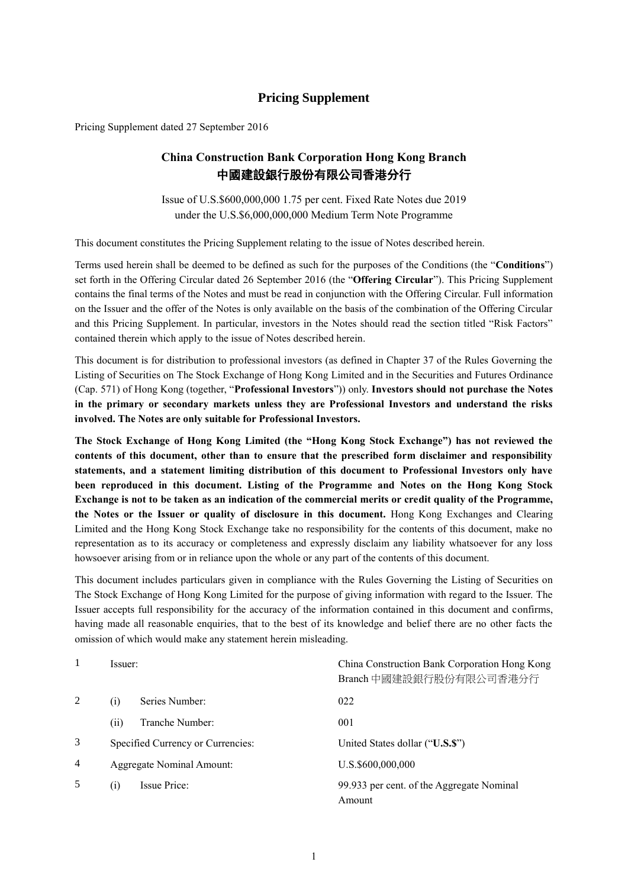## **Pricing Supplement**

Pricing Supplement dated 27 September 2016

# **China Construction Bank Corporation Hong Kong Branch** 中國建設銀行股份有限公司香港分行

Issue of U.S.\$600,000,000 1.75 per cent. Fixed Rate Notes due 2019 under the U.S.\$6,000,000,000 Medium Term Note Programme

This document constitutes the Pricing Supplement relating to the issue of Notes described herein.

Terms used herein shall be deemed to be defined as such for the purposes of the Conditions (the "**Conditions**") set forth in the Offering Circular dated 26 September 2016 (the "**Offering Circular**"). This Pricing Supplement contains the final terms of the Notes and must be read in conjunction with the Offering Circular. Full information on the Issuer and the offer of the Notes is only available on the basis of the combination of the Offering Circular and this Pricing Supplement. In particular, investors in the Notes should read the section titled "Risk Factors" contained therein which apply to the issue of Notes described herein.

This document is for distribution to professional investors (as defined in Chapter 37 of the Rules Governing the Listing of Securities on The Stock Exchange of Hong Kong Limited and in the Securities and Futures Ordinance (Cap. 571) of Hong Kong (together, "**Professional Investors**")) only. **Investors should not purchase the Notes in the primary or secondary markets unless they are Professional Investors and understand the risks involved. The Notes are only suitable for Professional Investors.**

**The Stock Exchange of Hong Kong Limited (the "Hong Kong Stock Exchange") has not reviewed the contents of this document, other than to ensure that the prescribed form disclaimer and responsibility statements, and a statement limiting distribution of this document to Professional Investors only have been reproduced in this document. Listing of the Programme and Notes on the Hong Kong Stock Exchange is not to be taken as an indication of the commercial merits or credit quality of the Programme, the Notes or the Issuer or quality of disclosure in this document.** Hong Kong Exchanges and Clearing Limited and the Hong Kong Stock Exchange take no responsibility for the contents of this document, make no representation as to its accuracy or completeness and expressly disclaim any liability whatsoever for any loss howsoever arising from or in reliance upon the whole or any part of the contents of this document.

This document includes particulars given in compliance with the Rules Governing the Listing of Securities on The Stock Exchange of Hong Kong Limited for the purpose of giving information with regard to the Issuer. The Issuer accepts full responsibility for the accuracy of the information contained in this document and confirms, having made all reasonable enquiries, that to the best of its knowledge and belief there are no other facts the omission of which would make any statement herein misleading.

|   | Issuer:           |                                   | China Construction Bank Corporation Hong Kong<br>Branch 中國建設銀行股份有限公司香港分行 |
|---|-------------------|-----------------------------------|--------------------------------------------------------------------------|
| 2 | $\rm(i)$          | Series Number:                    | 022                                                                      |
|   | (i)               | Tranche Number:                   | 001                                                                      |
| 3 |                   | Specified Currency or Currencies: | United States dollar ("U.S.S")                                           |
| 4 |                   | Aggregate Nominal Amount:         | U.S.\$600,000,000                                                        |
| 5 | $\left( i\right)$ | Issue Price:                      | 99.933 per cent. of the Aggregate Nominal<br>Amount                      |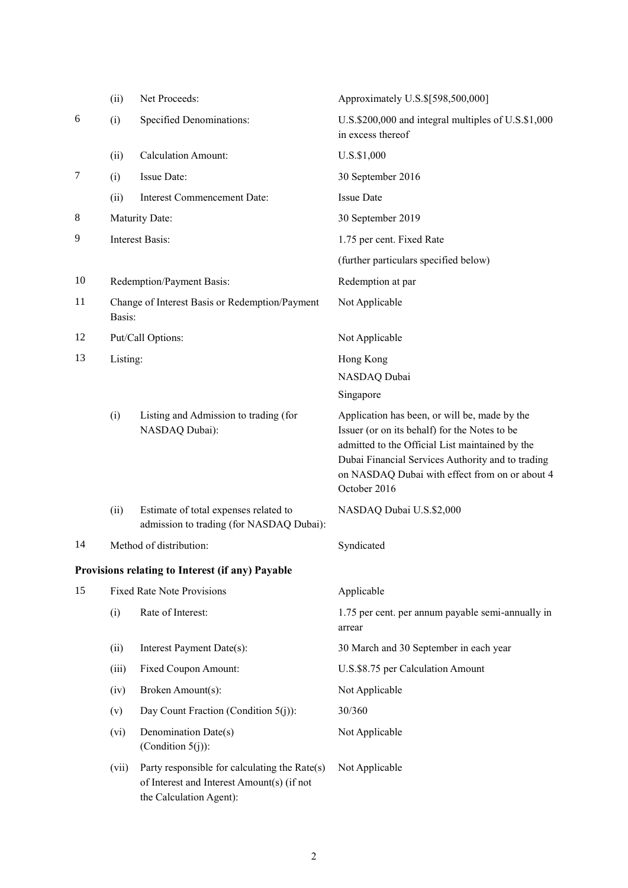|    | (ii)                                                     | Net Proceeds:                                                                                                          | Approximately U.S.\$[598,500,000]                                                                                                                                                                                                                                        |  |
|----|----------------------------------------------------------|------------------------------------------------------------------------------------------------------------------------|--------------------------------------------------------------------------------------------------------------------------------------------------------------------------------------------------------------------------------------------------------------------------|--|
| 6  | (i)                                                      | Specified Denominations:                                                                                               | U.S.\$200,000 and integral multiples of U.S.\$1,000<br>in excess thereof                                                                                                                                                                                                 |  |
|    | (ii)                                                     | <b>Calculation Amount:</b>                                                                                             | U.S.\$1,000                                                                                                                                                                                                                                                              |  |
| 7  | (i)                                                      | Issue Date:                                                                                                            | 30 September 2016                                                                                                                                                                                                                                                        |  |
|    | (ii)                                                     | Interest Commencement Date:                                                                                            | <b>Issue Date</b>                                                                                                                                                                                                                                                        |  |
| 8  |                                                          | Maturity Date:                                                                                                         | 30 September 2019                                                                                                                                                                                                                                                        |  |
| 9  | Interest Basis:                                          |                                                                                                                        | 1.75 per cent. Fixed Rate                                                                                                                                                                                                                                                |  |
|    |                                                          |                                                                                                                        | (further particulars specified below)                                                                                                                                                                                                                                    |  |
| 10 |                                                          | Redemption/Payment Basis:                                                                                              | Redemption at par                                                                                                                                                                                                                                                        |  |
| 11 | Change of Interest Basis or Redemption/Payment<br>Basis: |                                                                                                                        | Not Applicable                                                                                                                                                                                                                                                           |  |
| 12 | Put/Call Options:<br>Not Applicable                      |                                                                                                                        |                                                                                                                                                                                                                                                                          |  |
| 13 | Listing:                                                 |                                                                                                                        | Hong Kong                                                                                                                                                                                                                                                                |  |
|    |                                                          |                                                                                                                        | NASDAQ Dubai                                                                                                                                                                                                                                                             |  |
|    |                                                          |                                                                                                                        | Singapore                                                                                                                                                                                                                                                                |  |
|    | (i)                                                      | Listing and Admission to trading (for<br>NASDAQ Dubai):                                                                | Application has been, or will be, made by the<br>Issuer (or on its behalf) for the Notes to be<br>admitted to the Official List maintained by the<br>Dubai Financial Services Authority and to trading<br>on NASDAQ Dubai with effect from on or about 4<br>October 2016 |  |
|    | (ii)                                                     | Estimate of total expenses related to<br>admission to trading (for NASDAQ Dubai):                                      | NASDAQ Dubai U.S.\$2,000                                                                                                                                                                                                                                                 |  |
| 14 |                                                          | Method of distribution:                                                                                                | Syndicated                                                                                                                                                                                                                                                               |  |
|    |                                                          | Provisions relating to Interest (if any) Payable                                                                       |                                                                                                                                                                                                                                                                          |  |
| 15 | <b>Fixed Rate Note Provisions</b>                        |                                                                                                                        | Applicable                                                                                                                                                                                                                                                               |  |
|    | (i)                                                      | Rate of Interest:                                                                                                      | 1.75 per cent. per annum payable semi-annually in<br>arrear                                                                                                                                                                                                              |  |
|    | (ii)                                                     | Interest Payment Date(s):                                                                                              | 30 March and 30 September in each year                                                                                                                                                                                                                                   |  |
|    | (iii)                                                    | Fixed Coupon Amount:                                                                                                   | U.S.\$8.75 per Calculation Amount                                                                                                                                                                                                                                        |  |
|    | (iv)                                                     | Broken Amount(s):                                                                                                      | Not Applicable                                                                                                                                                                                                                                                           |  |
|    | (v)                                                      | Day Count Fraction (Condition $5(j)$ ):                                                                                | 30/360                                                                                                                                                                                                                                                                   |  |
|    | (vi)                                                     | Denomination Date(s)<br>(Condition $5(j)$ ):                                                                           | Not Applicable                                                                                                                                                                                                                                                           |  |
|    | (vii)                                                    | Party responsible for calculating the Rate(s)<br>of Interest and Interest Amount(s) (if not<br>the Calculation Agent): | Not Applicable                                                                                                                                                                                                                                                           |  |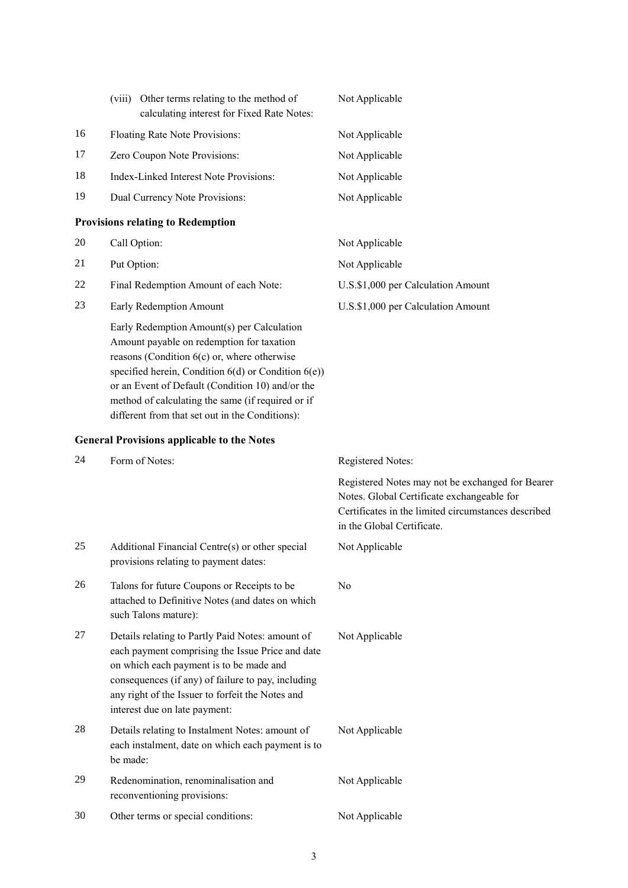|    | Other terms relating to the method of<br>(viii)<br>calculating interest for Fixed Rate Notes:                                                                                                     | Not Applicable                     |
|----|---------------------------------------------------------------------------------------------------------------------------------------------------------------------------------------------------|------------------------------------|
| 16 | Floating Rate Note Provisions:                                                                                                                                                                    | Not Applicable                     |
| 17 | Zero Coupon Note Provisions:                                                                                                                                                                      | Not Applicable                     |
| 18 | Index-Linked Interest Note Provisions:                                                                                                                                                            | Not Applicable                     |
| 19 | Dual Currency Note Provisions:                                                                                                                                                                    | Not Applicable                     |
|    | <b>Provisions relating to Redemption</b>                                                                                                                                                          |                                    |
| 20 | Call Option:                                                                                                                                                                                      | Not Applicable                     |
| 21 | Put Option:                                                                                                                                                                                       | Not Applicable                     |
| 22 | Final Redemption Amount of each Note:                                                                                                                                                             | U.S.\$1,000 per Calculation Amount |
| 23 | <b>Early Redemption Amount</b>                                                                                                                                                                    | U.S.\$1,000 per Calculation Amount |
|    | Early Redemption Amount(s) per Calculation<br>Amount payable on redemption for taxation<br>reasons (Condition $6(c)$ or, where otherwise<br>specified herein Condition $6(d)$ or Condition $6(e)$ |                                    |

specified herein, Condition  $6(d)$  or Condition  $6(e)$ ) or an Event of Default (Condition 10) and/or the method of calculating the same (if required or if different from that set out in the Conditions):

## **General Provisions applicable to the Notes**

| 24 | Form of Notes:                                                                                                                                                                                                                                                                             | Registered Notes:                                                                                                                                                                   |
|----|--------------------------------------------------------------------------------------------------------------------------------------------------------------------------------------------------------------------------------------------------------------------------------------------|-------------------------------------------------------------------------------------------------------------------------------------------------------------------------------------|
|    |                                                                                                                                                                                                                                                                                            | Registered Notes may not be exchanged for Bearer<br>Notes. Global Certificate exchangeable for<br>Certificates in the limited circumstances described<br>in the Global Certificate. |
| 25 | Additional Financial Centre(s) or other special<br>provisions relating to payment dates:                                                                                                                                                                                                   | Not Applicable                                                                                                                                                                      |
| 26 | Talons for future Coupons or Receipts to be<br>attached to Definitive Notes (and dates on which<br>such Talons mature):                                                                                                                                                                    | N <sub>0</sub>                                                                                                                                                                      |
| 27 | Details relating to Partly Paid Notes: amount of<br>each payment comprising the Issue Price and date<br>on which each payment is to be made and<br>consequences (if any) of failure to pay, including<br>any right of the Issuer to forfeit the Notes and<br>interest due on late payment: | Not Applicable                                                                                                                                                                      |
| 28 | Details relating to Instalment Notes: amount of<br>each instalment, date on which each payment is to<br>be made:                                                                                                                                                                           | Not Applicable                                                                                                                                                                      |
| 29 | Redenomination, renominalisation and<br>reconventioning provisions:                                                                                                                                                                                                                        | Not Applicable                                                                                                                                                                      |
| 30 | Other terms or special conditions:                                                                                                                                                                                                                                                         | Not Applicable                                                                                                                                                                      |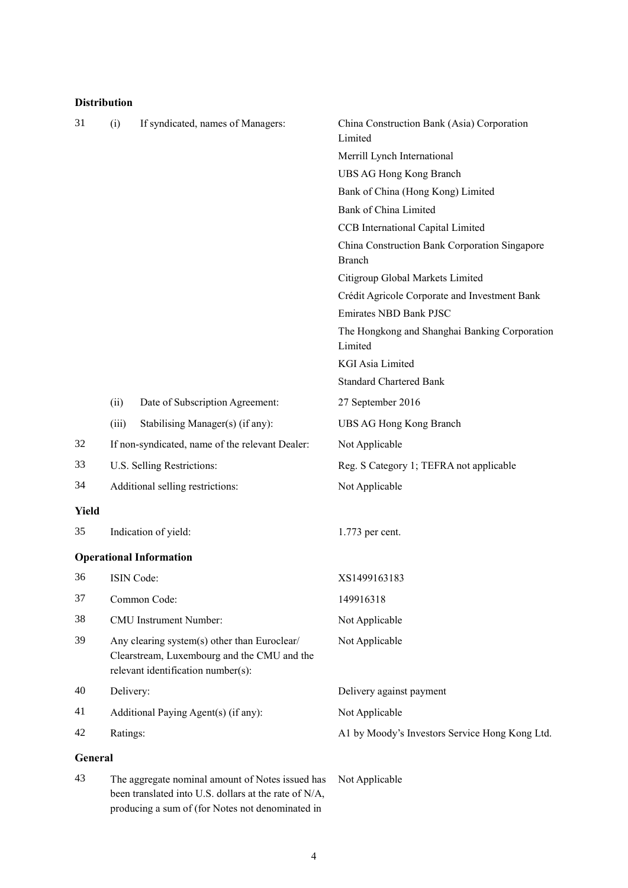## **Distribution**

| 31      | (i)                                                                                                                               | If syndicated, names of Managers:                                                                         | China Construction Bank (Asia) Corporation<br>Limited          |
|---------|-----------------------------------------------------------------------------------------------------------------------------------|-----------------------------------------------------------------------------------------------------------|----------------------------------------------------------------|
|         |                                                                                                                                   |                                                                                                           | Merrill Lynch International                                    |
|         |                                                                                                                                   |                                                                                                           | UBS AG Hong Kong Branch                                        |
|         |                                                                                                                                   |                                                                                                           | Bank of China (Hong Kong) Limited                              |
|         |                                                                                                                                   |                                                                                                           | <b>Bank of China Limited</b>                                   |
|         |                                                                                                                                   |                                                                                                           | CCB International Capital Limited                              |
|         |                                                                                                                                   |                                                                                                           | China Construction Bank Corporation Singapore<br><b>Branch</b> |
|         |                                                                                                                                   |                                                                                                           | Citigroup Global Markets Limited                               |
|         |                                                                                                                                   |                                                                                                           | Crédit Agricole Corporate and Investment Bank                  |
|         |                                                                                                                                   |                                                                                                           | Emirates NBD Bank PJSC                                         |
|         |                                                                                                                                   |                                                                                                           | The Hongkong and Shanghai Banking Corporation<br>Limited       |
|         |                                                                                                                                   |                                                                                                           | <b>KGI Asia Limited</b>                                        |
|         |                                                                                                                                   |                                                                                                           | <b>Standard Chartered Bank</b>                                 |
|         | (ii)                                                                                                                              | Date of Subscription Agreement:                                                                           | 27 September 2016                                              |
|         | (iii)                                                                                                                             | Stabilising Manager(s) (if any):                                                                          | UBS AG Hong Kong Branch                                        |
| 32      |                                                                                                                                   | If non-syndicated, name of the relevant Dealer:                                                           | Not Applicable                                                 |
| 33      |                                                                                                                                   | U.S. Selling Restrictions:                                                                                | Reg. S Category 1; TEFRA not applicable                        |
| 34      |                                                                                                                                   | Additional selling restrictions:                                                                          | Not Applicable                                                 |
| Yield   |                                                                                                                                   |                                                                                                           |                                                                |
| 35      |                                                                                                                                   | Indication of yield:                                                                                      | 1.773 per cent.                                                |
|         |                                                                                                                                   | <b>Operational Information</b>                                                                            |                                                                |
| 36      |                                                                                                                                   | ISIN Code:                                                                                                | XS1499163183                                                   |
| 37      | Common Code:                                                                                                                      |                                                                                                           | 149916318                                                      |
| 38      | CMU Instrument Number:                                                                                                            |                                                                                                           | Not Applicable                                                 |
| 39      | Any clearing system(s) other than Euroclear/<br>Clearstream, Luxembourg and the CMU and the<br>relevant identification number(s): |                                                                                                           | Not Applicable                                                 |
| 40      | Delivery:                                                                                                                         |                                                                                                           | Delivery against payment                                       |
| 41      |                                                                                                                                   | Additional Paying Agent(s) (if any):                                                                      | Not Applicable                                                 |
| 42      | Ratings:                                                                                                                          |                                                                                                           | A1 by Moody's Investors Service Hong Kong Ltd.                 |
| General |                                                                                                                                   |                                                                                                           |                                                                |
| 43      |                                                                                                                                   | The aggregate nominal amount of Notes issued has<br>been translated into U.S. dollars at the rate of N/A, | Not Applicable                                                 |

producing a sum of (for Notes not denominated in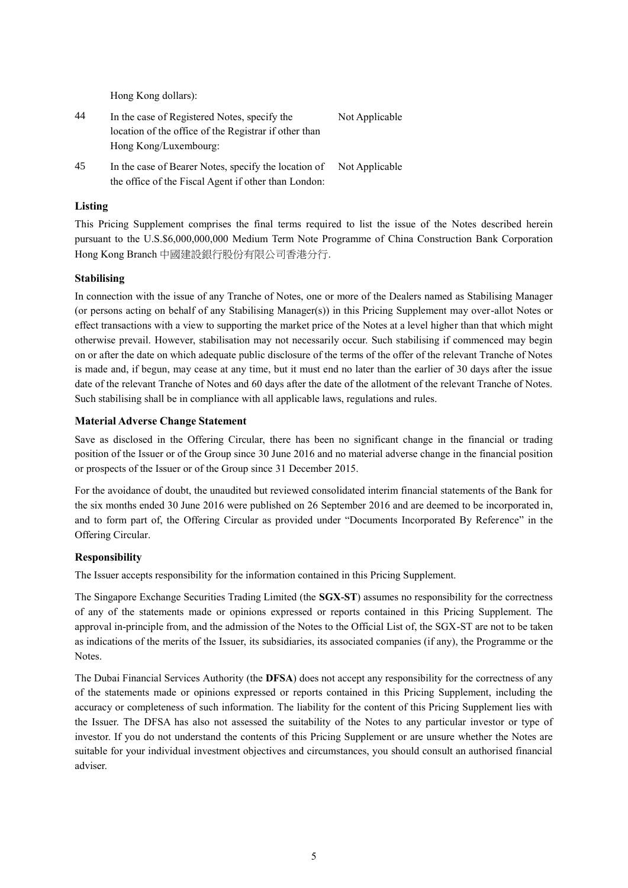Hong Kong dollars):

| 44 | In the case of Registered Notes, specify the          | Not Applicable |  |
|----|-------------------------------------------------------|----------------|--|
|    | location of the office of the Registrar if other than |                |  |
|    | Hong Kong/Luxembourg:                                 |                |  |
| 45 | In the case of Bearer Notes, specify the location of  | Not Applicable |  |

the office of the Fiscal Agent if other than London:

### **Listing**

This Pricing Supplement comprises the final terms required to list the issue of the Notes described herein pursuant to the U.S.\$6,000,000,000 Medium Term Note Programme of China Construction Bank Corporation Hong Kong Branch 中國建設銀行股份有限公司香港分行.

#### **Stabilising**

In connection with the issue of any Tranche of Notes, one or more of the Dealers named as Stabilising Manager (or persons acting on behalf of any Stabilising Manager(s)) in this Pricing Supplement may over-allot Notes or effect transactions with a view to supporting the market price of the Notes at a level higher than that which might otherwise prevail. However, stabilisation may not necessarily occur. Such stabilising if commenced may begin on or after the date on which adequate public disclosure of the terms of the offer of the relevant Tranche of Notes is made and, if begun, may cease at any time, but it must end no later than the earlier of 30 days after the issue date of the relevant Tranche of Notes and 60 days after the date of the allotment of the relevant Tranche of Notes. Such stabilising shall be in compliance with all applicable laws, regulations and rules.

#### **Material Adverse Change Statement**

Save as disclosed in the Offering Circular, there has been no significant change in the financial or trading position of the Issuer or of the Group since 30 June 2016 and no material adverse change in the financial position or prospects of the Issuer or of the Group since 31 December 2015.

For the avoidance of doubt, the unaudited but reviewed consolidated interim financial statements of the Bank for the six months ended 30 June 2016 were published on 26 September 2016 and are deemed to be incorporated in, and to form part of, the Offering Circular as provided under "Documents Incorporated By Reference" in the Offering Circular.

#### **Responsibility**

The Issuer accepts responsibility for the information contained in this Pricing Supplement.

The Singapore Exchange Securities Trading Limited (the **SGX-ST**) assumes no responsibility for the correctness of any of the statements made or opinions expressed or reports contained in this Pricing Supplement. The approval in-principle from, and the admission of the Notes to the Official List of, the SGX-ST are not to be taken as indications of the merits of the Issuer, its subsidiaries, its associated companies (if any), the Programme or the Notes.

The Dubai Financial Services Authority (the **DFSA**) does not accept any responsibility for the correctness of any of the statements made or opinions expressed or reports contained in this Pricing Supplement, including the accuracy or completeness of such information. The liability for the content of this Pricing Supplement lies with the Issuer. The DFSA has also not assessed the suitability of the Notes to any particular investor or type of investor. If you do not understand the contents of this Pricing Supplement or are unsure whether the Notes are suitable for your individual investment objectives and circumstances, you should consult an authorised financial adviser.